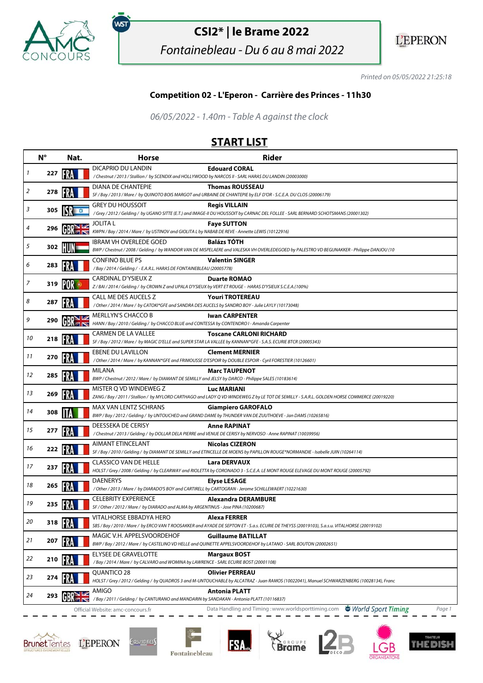

.<br>WST

## **CSI2\* | le Brame 2022**

Fontainebleau - Du 6 au 8 mai 2022



Printed on 05/05/2022 21:25:18

## **Competition 02 - L'Eperon - Carrière des Princes - 11h30**

06/05/2022 - 1.40m - Table A against the clock

## **START LIST**

|    | $N^{\circ}$ | Nat. | <b>Horse</b>                                                                                                                       | <b>Rider</b>                                                                                                                                                         |
|----|-------------|------|------------------------------------------------------------------------------------------------------------------------------------|----------------------------------------------------------------------------------------------------------------------------------------------------------------------|
| 1  | 227         |      | <b>DICAPRIO DU LANDIN</b><br>/Chestnut / 2013 / Stallion / by SCENDIX and HOLLYWOOD by NARCOS II - SARL HARAS DU LANDIN (20003000) | <b>Edouard CORAL</b>                                                                                                                                                 |
|    |             |      | DIANA DE CHANTEPIE                                                                                                                 | <b>Thomas ROUSSEAU</b>                                                                                                                                               |
| 2  | 278         |      |                                                                                                                                    | SF / Bay / 2013 / Mare / by QUINOTO BOIS MARGOT and URBAINE DE CHANTEPIE by ELF D'OR - S.C.E.A. DU CLOS (20006179)                                                   |
|    |             |      | <b>GREY DU HOUSSOIT</b>                                                                                                            | <b>Regis VILLAIN</b>                                                                                                                                                 |
| 3  | 305         |      |                                                                                                                                    | /Grey / 2012 / Gelding / by UGANO SITTE (E.T.) and IMAGE-II DU HOUSSOIT by CARNAC DEL FOLLEE - SARL BERNARD SCHOTSMANS (20001302)                                    |
| 4  | 296         |      | JOLITA L<br>KWPN / Bay / 2014 / Mare / by USTINOV and GIOLITA L by NABAB DE REVE - Annette LEWIS (10122916)                        | <b>Faye SUTTON</b>                                                                                                                                                   |
|    |             |      | <b>IBRAM VH OVERLEDE GOED</b>                                                                                                      | <b>Balázs TÓTH</b>                                                                                                                                                   |
| 5  | 302         |      |                                                                                                                                    | BWP / Chestnut / 2008 / Gelding / by WANDOR VAN DE MISPELAERE and VALESKA VH OVERLEDEGOED by PALESTRO VD BEGIJNAKKER - Philippe DANJOU (10                           |
| 6  | 283         |      | <b>CONFINO BLUE PS</b>                                                                                                             | <b>Valentin SINGER</b>                                                                                                                                               |
|    |             |      | /Bay / 2014 / Gelding / - E.A.R.L. HARAS DE FONTAINEBLEAU (20005778)                                                               |                                                                                                                                                                      |
| 7  | 319         |      | CARDINAL D'YSIEUX Z<br>Z/BAI/2014/Gelding/by CROWN Z and UPALA D'YSIEUX by VERT ET ROUGE - HARAS D'YSIEUX S.C.E.A.(100%)           | <b>Duarte ROMAO</b>                                                                                                                                                  |
|    |             |      | CALL ME DES AUCELS Z                                                                                                               | <b>Youri TROTEREAU</b>                                                                                                                                               |
| 8  | 287         |      | / Other / 2014 / Mare / by CATOKI*GFE and SANDRA DES AUCELS by SANDRO BOY - Julie LAYLY (10173048)                                 |                                                                                                                                                                      |
| 9  |             |      | <b>MERLLYN'S CHACCO B</b>                                                                                                          | <b>Iwan CARPENTER</b>                                                                                                                                                |
|    | 290         |      | HANN / Bay / 2010 / Gelding / by CHACCO BLUE and CONTESSA by CONTENDRO I - Amanda Carpenter                                        |                                                                                                                                                                      |
| 10 | 218         |      | CARMEN DE LA VALLEE                                                                                                                | <b>Toscane CARLONI RICHARD</b>                                                                                                                                       |
|    |             |      |                                                                                                                                    | SF / Bay / 2012 / Mare / by MAGIC D'ELLE and SUPER STAR LA VALLEE by KANNAN*GFE - S.A.S. ECURIE BTCR (20005343)                                                      |
| 11 | 270         |      | EBENE DU LAVILLON                                                                                                                  | <b>Clement MERNIER</b><br>/ Other / 2014 / Mare / by KANNAN*GFE and FRIMOUSSE D'ESPOIR by DOUBLE ESPOIR - Cyril FORESTIER (10126601)                                 |
|    |             |      | <b>MILANA</b>                                                                                                                      | <b>Marc TAUPENOT</b>                                                                                                                                                 |
| 12 | 285         |      | BWP / Chestnut / 2012 / Mare / by DIAMANT DE SEMILLY and JELSY by DARCO - Philippe SALES (10183614)                                |                                                                                                                                                                      |
| 13 |             |      | MISTER Q VD WINDEWEG Z                                                                                                             | <b>Luc MARIANI</b>                                                                                                                                                   |
|    | 269         |      |                                                                                                                                    | ZANG / Bay / 2011 / Stallion / by MYLORD CARTHAGO and LADY Q VD WINDEWEG Z by LE TOT DE SEMILLY - S.A.R.L. GOLDEN HORSE COMMERCE (20019220)                          |
| 14 | 308         |      | MAX VAN LENTZ SCHRANS                                                                                                              | <b>Giampiero GAROFALO</b>                                                                                                                                            |
|    |             |      |                                                                                                                                    | BWP / Bay / 2012 / Gelding / by UNTOUCHED and GRAND DAME by THUNDER VAN DE ZUUTHOEVE - Jan DAMS (10265816)                                                           |
| 15 | 277         |      | DEESSEKA DE CERISY                                                                                                                 | <b>Anne RAPINAT</b><br>/ Chestnut / 2013 / Gelding / by DOLLAR DELA PIERRE and VENUE DE CERISY by NERVOSO - Anne RAPINAT (10039956)                                  |
|    |             |      | <b>AIMANT ETINCELANT</b>                                                                                                           | <b>Nicolas CIZERON</b>                                                                                                                                               |
| 16 | 222         |      |                                                                                                                                    | SF / Bay / 2010 / Gelding / by DIAMANT DE SEMILLY and ETINCELLE DE MOENS by PAPILLON ROUGE*NORMANDIE - Isabelle JUIN (10264114)                                      |
| 17 |             |      | <b>CLASSICO VAN DE HELLE</b>                                                                                                       | <b>Lara DERVAUX</b>                                                                                                                                                  |
|    | 237         |      |                                                                                                                                    | HOLST / Grey / 2008 / Gelding / by CLEARWAY and RIOLETTA by CORONADO 3 - S.C.E.A. LE MONT ROUGE ELEVAGE DU MONT ROUGE (20005792)                                     |
| 18 | 265         |      | <b>DAENERYS</b>                                                                                                                    | <b>Elyse LESAGE</b>                                                                                                                                                  |
|    |             |      | /Other/2013/Mare/ by DIARADO'S BOY and CARTIRELL by CARTOGRAN - Jerome SCHILLEWAERT (10221630)                                     |                                                                                                                                                                      |
| 19 | 235         |      | <b>CELEBRITY EXPERIENCE</b><br>SF / Other / 2012 / Mare / by DIARADO and ALMA by ARGENTINUS - Jose PINA (10200687)                 | Alexandra DERAMBURE                                                                                                                                                  |
|    |             |      | VITALHORSE EBBADYA HERO                                                                                                            | Alexa FERRER                                                                                                                                                         |
| 20 | 318         |      |                                                                                                                                    | SBS / Bay / 2010 / Mare / by ERCO VAN TROOSAKKER and AYADE DE SEPTON ET - S.a.s. ECURIE DE THEYSS (20019103), S.a.s.u. VITALHORSE (20019102)                         |
| 21 |             |      | MAGIC V.H. APPELSVOORDEHOF                                                                                                         | <b>Guillaume BATILLAT</b>                                                                                                                                            |
|    | 207         |      |                                                                                                                                    | BWP / Bay / 2012 / Mare / by CASTELINO VD HELLE and QUINETTE APPELSVOORDEHOF by LATANO - SARL BOUTON (20002651)                                                      |
| 22 | 210         |      | ELYSEE DE GRAVELOTTE                                                                                                               | Margaux BOST                                                                                                                                                         |
|    |             |      | /Bay / 2014 / Mare / by CALVARO and WOMINA by LAWRENCE - SARL ECURIE BOST (20001108)                                               |                                                                                                                                                                      |
| 23 | 274         |      | QUANTICO 28                                                                                                                        | <b>Olivier PERREAU</b><br>HOLST / Grey / 2012 / Gelding / by QUADROS 3 and M-UNTOUCHABLE by ALCATRAZ - Juan RAMOS (10022041), Manuel SCHWARZENBERG (10028134), Franc |
|    |             |      | AMIGO                                                                                                                              | Antonia PLATT                                                                                                                                                        |
| 24 | 293         |      | /Bay / 2011 / Gelding / by CANTURANO and MANDARIN by SANDAKAN - Antonia PLATT (10116837)                                           |                                                                                                                                                                      |
|    |             |      | Official Website: amc-concours.fr                                                                                                  | World Sport Timing<br>Data Handling and Timing: www.worldsporttiming.com<br>Page 1                                                                                   |







**FSA**